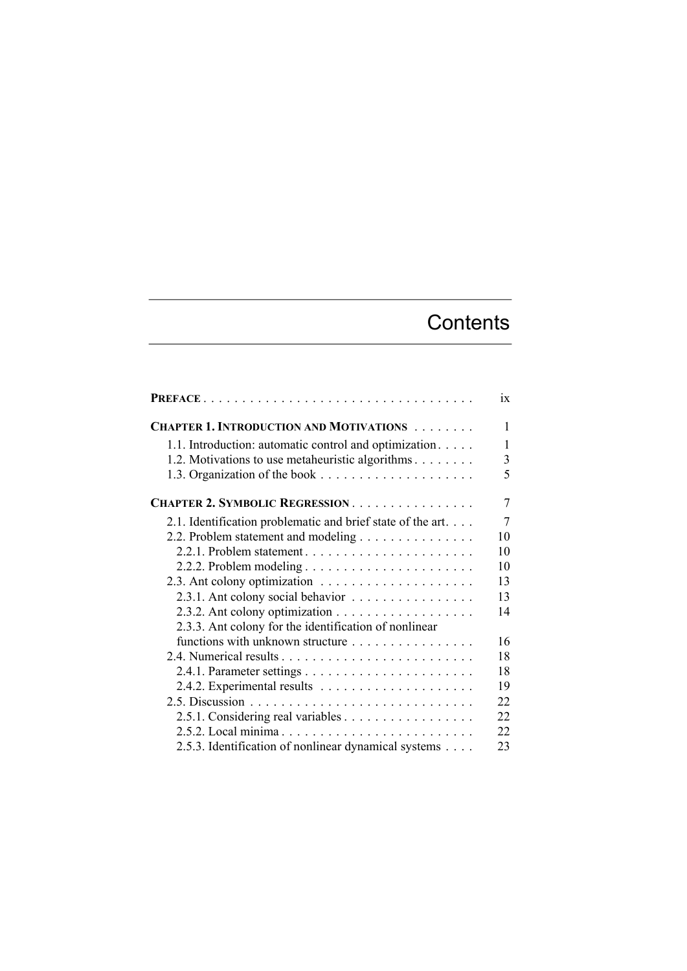## **Contents**

|                                                            | ix             |
|------------------------------------------------------------|----------------|
| <b>CHAPTER 1. INTRODUCTION AND MOTIVATIONS</b>             | 1              |
| 1.1. Introduction: automatic control and optimization      | 1              |
| 1.2. Motivations to use metaheuristic algorithms           | 3              |
|                                                            | 5              |
| CHAPTER 2. SYMBOLIC REGRESSION                             | $\overline{7}$ |
| 2.1. Identification problematic and brief state of the art | 7              |
| 2.2. Problem statement and modeling                        | 10             |
|                                                            | 10             |
|                                                            | 10             |
|                                                            | 13             |
| 2.3.1. Ant colony social behavior                          | 13             |
|                                                            | 14             |
| 2.3.3. Ant colony for the identification of nonlinear      |                |
| functions with unknown structure                           | 16             |
|                                                            | 18             |
|                                                            | 18             |
|                                                            | 19             |
|                                                            | 22             |
| 2.5.1. Considering real variables                          | 22             |
| 2.5.2. Local minima                                        | 22             |
| 2.5.3. Identification of nonlinear dynamical systems       | 23             |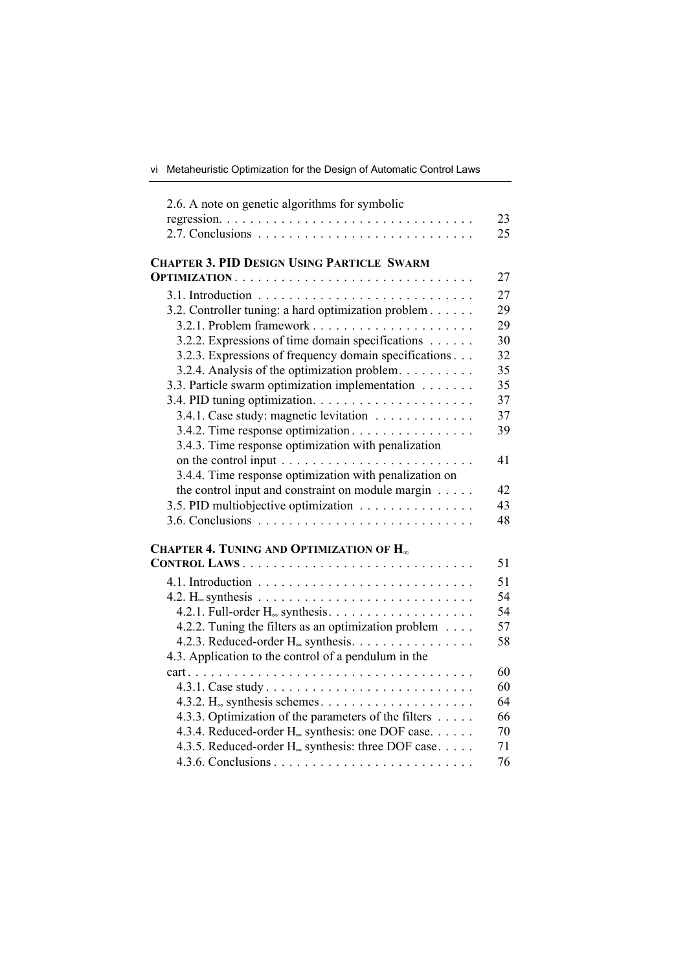| 2.6. A note on genetic algorithms for symbolic                 |    |
|----------------------------------------------------------------|----|
|                                                                | 23 |
|                                                                | 25 |
| <b>CHAPTER 3. PID DESIGN USING PARTICLE SWARM</b>              |    |
|                                                                | 27 |
|                                                                | 27 |
| 3.2. Controller tuning: a hard optimization problem            | 29 |
|                                                                | 29 |
| 3.2.2. Expressions of time domain specifications               | 30 |
| 3.2.3. Expressions of frequency domain specifications          | 32 |
| 3.2.4. Analysis of the optimization problem.                   | 35 |
| 3.3. Particle swarm optimization implementation                | 35 |
|                                                                | 37 |
| 3.4.1. Case study: magnetic levitation                         | 37 |
| 3.4.2. Time response optimization                              | 39 |
| 3.4.3. Time response optimization with penalization            |    |
|                                                                | 41 |
| 3.4.4. Time response optimization with penalization on         |    |
| the control input and constraint on module margin $\dots$ .    | 42 |
| 3.5. PID multiobjective optimization                           | 43 |
|                                                                | 48 |
| CHAPTER 4. TUNING AND OPTIMIZATION OF $\mathbf{H}_{\infty}$    |    |
| CONTROL LAWS                                                   | 51 |
|                                                                | 51 |
|                                                                | 54 |
|                                                                | 54 |
| 4.2.2. Tuning the filters as an optimization problem           | 57 |
| 4.2.3. Reduced-order $H_{\infty}$ synthesis.                   | 58 |
| 4.3. Application to the control of a pendulum in the           |    |
|                                                                | 60 |
| 4.3.1. Case study                                              | 60 |
|                                                                | 64 |
| 4.3.3. Optimization of the parameters of the filters           | 66 |
| 4.3.4. Reduced-order H <sub>∞</sub> synthesis: one DOF case.   | 70 |
| 4.3.5. Reduced-order H <sub>∞</sub> synthesis: three DOF case. | 71 |
|                                                                | 76 |